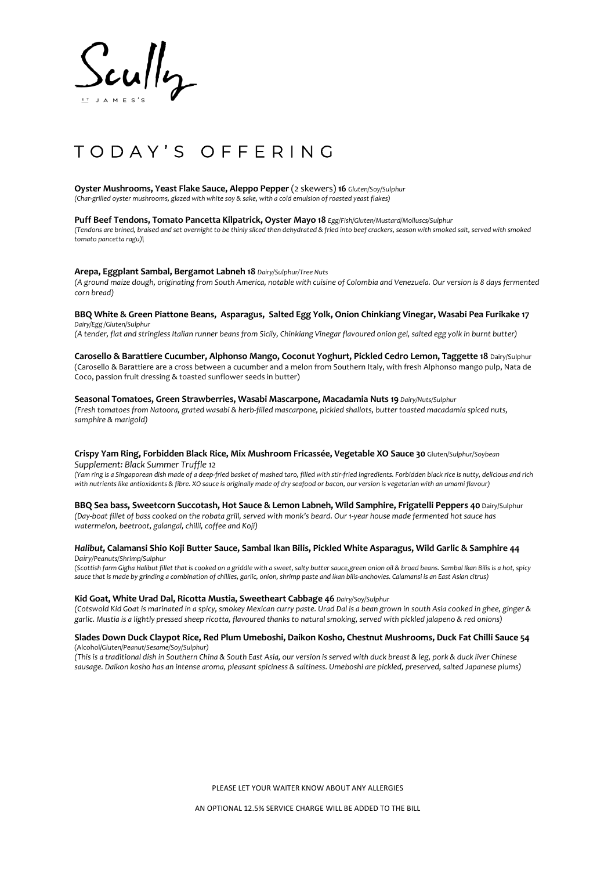

# TODAY'S OFFERING

**Oyster Mushrooms, Yeast Flake Sauce, Aleppo Pepper** (2 skewers) **16** *Gluten/Soy/Sulphur (Char-grilled oyster mushrooms, glazed with white soy & sake, with a cold emulsion of roasted yeast flakes)*

**Puff Beef Tendons, Tomato Pancetta Kilpatrick, Oyster Mayo 18** *Egg/Fish/Gluten/Mustard/Molluscs/Sulphur (Tendons are brined, braised and set overnight to be thinly sliced then dehydrated & fried into beef crackers, season with smoked salt, served with smoked tomato pancetta ragu)\*

# **Arepa, Eggplant Sambal, Bergamot Labneh 18** *Dairy/Sulphur/Tree Nuts*

*(A ground maize dough, originating from South America, notable with cuisine of Colombia and Venezuela. Our version is 8 days fermented corn bread)*

#### **BBQ White & Green Piattone Beans, Asparagus, Salted Egg Yolk, Onion Chinkiang Vinegar, Wasabi Pea Furikake 17** *Dairy/Egg /Gluten/Sulphur*

*(A tender, flat and stringless Italian runner beans from Sicily, Chinkiang Vinegar flavoured onion gel, salted egg yolk in burnt butter)* 

**Carosello & Barattiere Cucumber, Alphonso Mango, Coconut Yoghurt, Pickled Cedro Lemon, Taggette 18** Dairy/Sulphur (Carosello & Barattiere are a cross between a cucumber and a melon from Southern Italy, with fresh Alphonso mango pulp, Nata de Coco, passion fruit dressing & toasted sunflower seeds in butter)

#### **Seasonal Tomatoes, Green Strawberries, Wasabi Mascarpone, Macadamia Nuts 19** *Dairy/Nuts/Sulphur*

*(Fresh tomatoes from Natoora, grated wasabi & herb-filled mascarpone, pickled shallots, butter toasted macadamia spiced nuts, samphire & marigold)*

# **Crispy Yam Ring, Forbidden Black Rice, Mix Mushroom Fricassée, Vegetable XO Sauce 30** Gluten*/Sulphur/Soybean Supplement: Black Summer Truffle 12*

*(Yam ring is a Singaporean dish made of a deep-fried basket of mashed taro, filled with stir-fried ingredients. Forbidden black rice is nutty, delicious and rich with nutrients like antioxidants & fibre. XO sauce is originally made of dry seafood or bacon, our version is vegetarian with an umami flavour)*

# **BBQ Sea bass, Sweetcorn Succotash, Hot Sauce & Lemon Labneh, Wild Samphire, Frigatelli Peppers 40** Dairy/Sulphur

*(Day-boat fillet of bass cooked on the robata grill, served with monk's beard. Our 1-year house made fermented hot sauce has watermelon, beetroot, galangal, chilli, coffee and Koji)*

# *Halibut***, Calamansi Shio Koji Butter Sauce, Sambal Ikan Bilis, Pickled White Asparagus, Wild Garlic & Samphire 44** *Dairy/Peanuts/Shrimp/Sulphur*

*(Scottish farm Gigha Halibut fillet that is cooked on a griddle with a sweet, salty butter sauce,green onion oil & broad beans. Sambal Ikan Bilis is a hot, spicy sauce that is made by grinding a combination of chillies, garlic, onion, shrimp paste and ikan bilis-anchovies. Calamansi is an East Asian citrus)*

#### **Kid Goat, White Urad Dal, Ricotta Mustia, Sweetheart Cabbage 46** *Dairy/Soy/Sulphur*

*(Cotswold Kid Goat is marinated in a spicy, smokey Mexican curry paste. Urad Dal is a bean grown in south Asia cooked in ghee, ginger & garlic. Mustia is a lightly pressed sheep ricotta, flavoured thanks to natural smoking, served with pickled jalapeno & red onions)*

#### **Slades Down Duck Claypot Rice, Red Plum Umeboshi, Daikon Kosho, Chestnut Mushrooms, Duck Fat Chilli Sauce 54** (Alcohol/*Gluten/Peanut/Sesame/Soy/Sulphur)*

*(This is a traditional dish in Southern China & South East Asia, our version is served with duck breast & leg, pork & duck liver Chinese sausage. Daikon kosho has an intense aroma, pleasant spiciness & saltiness. Umeboshi are pickled, preserved, salted Japanese plums)*

PLEASE LET YOUR WAITER KNOW ABOUT ANY ALLERGIES

AN OPTIONAL 12.5% SERVICE CHARGE WILL BE ADDED TO THE BILL